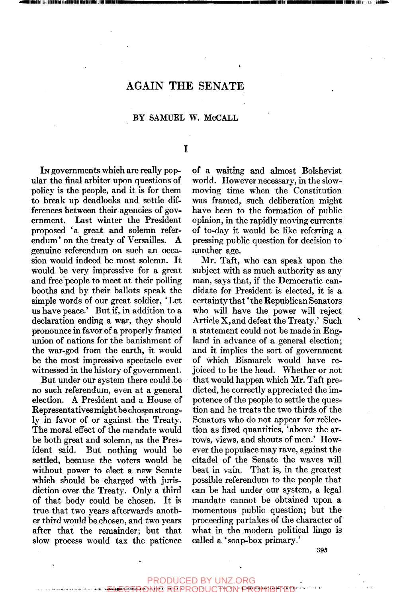# AGAIN THE SENATE

## BY SAMUEL W. McCALL

 $\mathbf{I}$ 

In governments which are really popular the final arbiter upon questions of policy is the people, and it is for them to break up deadlocks and settle differences between their agencies of government. Last winter the President proposed 'a great and solemn referendum'on the treaty of Versailles. A genuine referendum on such an occasion would indeed be most solemn. It would be very impressive for a great and free'people to meet at their polling booths and by their ballots speak the simple words of our great soldier, 'Let us have peace.' But if, in addition to a declaration ending a war, they should pronounce in favor of a properly framed union of nations for the banishment of the war-god from the earth, it would be the most impressive spectacle ever witnessed in the history of government.

But under our system there could be no such referendum, even at a general election. A President and a House of Representatives might be chosen strongly in favor of or against the Treaty. The moral effect of the mandate would be both great and solemn, as the President said. But nothing would be settled, because the voters would be without power to elect a new Senate which should be charged with jurisdiction over the Treaty. Only a third of that body could be chosen. It is true that two years afterwards another third would be chosen, and two years after that the remainder; but that slow process would tax the patience of a waiting and almost Bolshevist world. However necessary, in the slowmoving time when the Constitution was framed, such deliberation might have been to the formation of public opinion, in the rapidly moving currents of to-day it would be like referring a pressing public question for decision to another age.

Mr. Taft, who can speak upon the subject with as much authority as any man, says that, if the Democratic candidate for President is elected, it is a certainty that' the Republican Senators who will have the power will reject Article X,and defeat the Treaty.' Such a statement could not be made in England in advance of a general election; and it implies the sort of government of which Bismarck would have rejoiced to be the head. Whether or not that would happen which Mr. Taft predicted, he correctly appreciated the impotence of the people to settle the question and he treats the two thirds of the Senators who do not appear for reëlection as fixed quantities, 'above the arrows, views, and shouts of men.' However the populace may rave, against the citadel of the Senate the waves will beat in vain. That is, in the greatest possible referendum to the people that can be had under our system, a legal mandate cannot be obtained upon a momentous public question; but the proceeding partakes of the character of what in the modern political lingo is called a 'soap-box primary.'

395

PRODUCED BY UNZ.ORG

ELECTRONIC REPRODUCTION PROHIBITED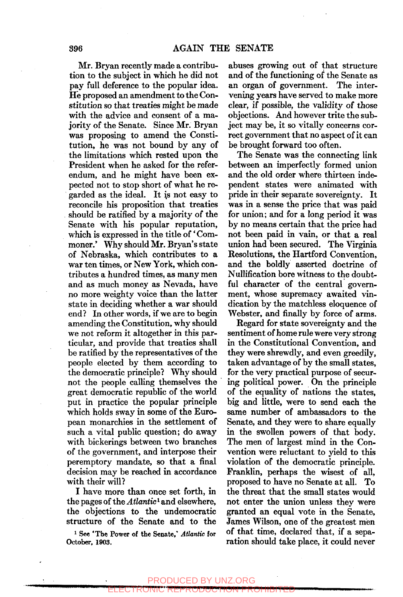Mr. Bryan recently made a contribution to the subject in which he did not pay full deference to the popular idea. He proposed an amendment to the Constitution so that treaties might be made with the advice and consent of a majority of the Senate. Since Mr. Bryan was proposing to amend the Constitution, he was not bound by any of the limitations which rested upon the President when he asked for the referendum, and he might have been expected not to stop short of what he regarded as the ideal. It is not easy to reconcile his proposition that treaties should be ratified by a majority of the Senate with his popular reputation, which is expressed in the title of' Commoner.' Why should Mr. Bryan's state of Nebraska, which contributes to a war ten times, or New York, which contributes a hundred times, as many men and as much money as Nevada, have no more weighty voice than the latter state in deciding whether a war should end? In other words, if we are to begin amending the Constitution, why should we not reform it altogether in this particular, and provide that treaties shall be ratified by the representatives of the people elected by them according to the democratic principle? Why should not the people calling themselves the great democratic republic of the world put in practice the popular principle which holds sway in some of the European monarchies in the settlement of such a vital public question; do away with bickerings between two branches of the government, and interpose their peremptory mandate, so that a final decision may be reached in accordance with their will?

I have more than once set forth, in the pages of the *Atlantic^* and elsewhere, the objections to the undemocratic structure of the Senate and to the

' See 'The Power of the Senate,' *Atlantic* for October, 1903.

abuses growing out of that structure and of the functioning of the Senate as an organ of government. The intervening years have served to make more clear, if possible, the validity of those objections. And however trite the subject may be, it so vitally concerns correct government that no aspect of it can be brought forward too often.

The Senate was the connecting link between an imperfectly formed union and the old order where thirteen independent states were animated with pride in their separate sovereignty. It was in a sense the price that was paid for union; and for a long period it was by no means certain that the price had not been paid in vain, or that a real union had been secured. The Virginia Resolutions, the Hartford Convention, and the boldly asserted doctrine of Nullification bore witness to the doubtful character of the central government, whose supremacy awaited vindication by the matchless eloquence of Webster, and finally by force of arms.

Regard for state sovereignty and the sentiment of home rule were very strong in the Constitutional Convention, and they were shrewdly, and even greedily, taken advantage of by the small states, for the very practical purpose of securing political power. On the principle of the equality of nations the states, big and little, were to send each the same number of ambassadors to the Senate, and they were to share equally in the swollen powers of that body. The men of largest mind in the Convention were reluctant to yield to this violation of the democratic principle. Franklin, perhaps the wisest of all, proposed to have no Senate at all. To the threat that the small states would not enter the union unless they were granted an equal vote in the Senate, James Wilson, one of the greatest men of that time, declared that, if a separation should take place, it could never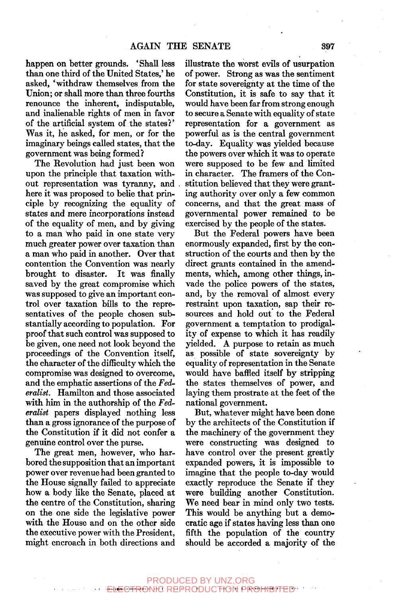happen on better grounds. 'Shall less than one third of the United States,' he asked, 'withdraw themselves from the Union; or shall more than three fourths renounce the inherent, indisputable, and inalienable rights of men in favor of the artificial system of the states?' Was it, he asked, for men, or for the imaginary beings called states, that the government was being formed?

The Revolution had just been won upon the principle that taxation without representation was tyranny, and here it was proposed to belie that principle by recognizing the equality of states and mere incorporations instead of the equality of men, and by giving to a man who paid in one state very much greater power over taxation than a man who paid in another. Over that contention the Convention was nearly brought to disaster. It was finally saved by the great compromise which was supposed to give an important control over taxation bills to the representatives of the people chosen substantially according to population. For proof that such control was supposed to be given, one need not look beyond the proceedings of the Convention itself, the character of the difficulty which the compromise was designed to overcome, and the emphatic assertions of the *Federalist.* Hamilton and those associated with him in the authorship of the *Federalist* papers displayed nothing less than a gross ignorance of the purpose of the Constitution if it did not confer a genuine control over the purse.

The great men, however, who harbored the supposition that an important power over revenue had been granted to the House signally failed to appreciate how a body like the Senate, placed at the centre of the Constitution, sharing on the one side the legislative power with the House and on the other side the executive power with the President, might encroach in both directions and illustrate the worst evils of usurpation of power. Strong as was the sentiment for state sovereignty at the time of the Constitution, it is safe to say that it would have been far from strong enough to secure a Senate with equality of state representation for a government as powerful as is the central government to-day. Equality was yielded because the powers over which it was to operate were supposed to be few and limited in character. The framers of the Constitution believed that they were granting authority over only a few common concerns, and that the great mass of governmental power remained to be exercised by the people of the states.

But the Federal powers have been enormously expanded, first by the construction of the courts and then by the direct grants contained in the amendments, which, among other things, invade the police powers of the states, and, by the removal of almost every restraint upon taxation, sap their resources and hold out to the Federal government a temptation to prodigality of expense to which it has readily yielded. A purpose to retain as much as possible of state sovereignty by equality of representation in the Senate would have baffled itself by stripping the states themselves of power, and laying them prostrate at the feet of the national government.

But, whatever might have been done by the architects of the Constitution if the machinery of the government they were constructing was designed to have control over the present greatly expanded powers, it is impossible to imagine that the people to-day would exactly reproduce the Senate if they were building another Constitution. We need bear in mind only two tests. This would be anything but a democratic age if states having less than one fifth the population of the country should be accorded a majority of the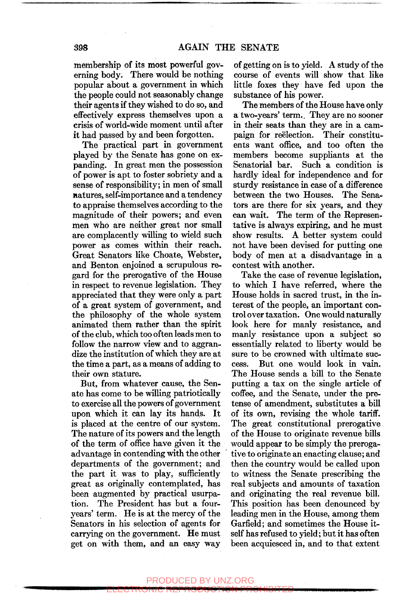membership of its most powerful governing body. There would be nothing popular about a government in which the people could not seasonably change their agents if they wished to do so, and effectively express themselves upon a crisis of world-wide moment until after it had passed by and been forgotten.

The practical part in government played by the Senate has gone on expanding. In great men the possession of power is apt to foster sobriety and a sense of responsibility; in men of small natures, self-importance and a tendency to appraise themselves according to the magnitude of their powers; and even men who are neither great nor small are complacently willing to wield such power as comes within their reach. Great Senators like Choate, Webster, and Benton enjoined a scrupulous regard for the prerogative of the House in respect to revenue legislation. They appreciated that they were only a part of a great system of government, and the philosophy of the whole system animated them rather than the spirit of the club, which too often leads men to follow the narrow view and to aggrandize the institution of which they are at the time a part, as a means of adding to their own stature.

But, from whatever cause, the Senate has come to be willing patriotically to exercise all the powers of government upon which it can lay its hands. It is placed at the centre of our system. The nature of its powers and the length of the term of office have given it the advantage in contending with the other departments of the government; and the part it was to play, sufficiently great as originally contemplated, has been augmented by practical usurpation. The President has but a fouryears' term. He is at the mercy of the Senators in his selection of agents for carrying on the government. He must get on with them, and an easy way

of getting on is to yield. A study of the course of events will show that like little foxes they have fed upon the substance of his power.

The members of the House have only a two-years' term.. They are no sooner in their seats than they are in a campaign for reelection. Their constituents want office, and too often the members become suppliants at the Senatorial bar. Such a condition is hardly ideal for independence and for sturdy resistance in case of a difference between the two Houses. The Senators are there for six years, and they can wait. The term of the Representative is always expiring, and he must show results. A better system could not have been devised for putting one body of men at a disadvantage in a contest with another.

Take the case of revenue legislation, to which I have referred, where the House holds in sacred trust, in the interest of the people, an important control over taxation. One would naturally look here for manly resistance, and manly resistance upon a subject so essentially related to liberty would be sure to be crowned with ultimate success. But one would look in vain. The House sends a bill to the Senate putting a tax on the single article of coffee, and the Senate, under the pretense of amendment, substitutes a bill of its own, revising the whole tariff. The great constitutional prerogative of the House to originate revenue bills would appear to be simply the prerogative to originate an enacting clause; and then the country would be called upon to witness the Senate prescribing the real subjects and amounts of taxation and originating the real revenue bill. This position has been denounced by leading men in the House, among them Garfield; and sometimes the House itself has refused to yield; but it has often been acquiesced in, and to that extent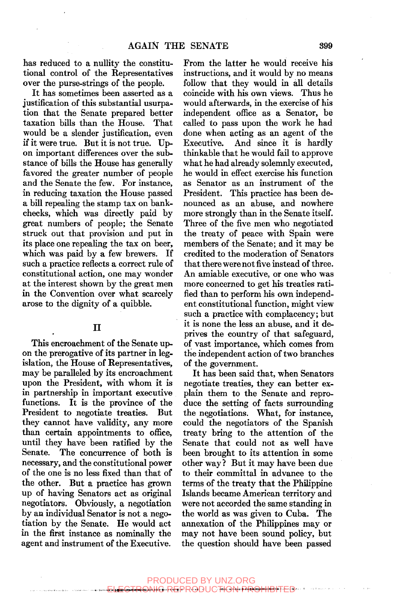has reduced to a nullity the constitutional control of the Representatives over the purse-strings of the people.

It has sometimes been asserted as a justification of this substantial usurpation that the Senate prepared better taxation bills than the House. That would be a slender justification, even if it were true. But it is not true. Upon important differences over the substance of bills the House has generally favored the greater number of people and the Senate the few. For instance, in reducing taxation the House passed a bill repealing the stamp tax on bankchecks, which was directly paid by great numbers of people; the Senate struck out that provision and put in its place one repealing the tax on beer, which was paid by a few brewers. If such a practice reflects a correct rule of constitutional action, one may wonder at the interest shown by the great men in the Convention over what scarcely arose to the dignity of a quibble.

### II

This encroachment of the Senate upon the prerogative of its partner in legislation, the House of Representatives, may be paralleled by its encroachment upon the President, with whom it is in partnership in important executive functions. It is the province of the President to negotiate treaties. But they cannot have validity, any more than certain appointments to office, until they have been ratified by the Senate. The concurrence of both is necessary, and the constitutional power of the one is no less fixed than that of the other. But a practice has grown up of having Senators act as original negotiators. Obviously, a negotiation by an individual Senator is not a negotiation by the Senate. He would act in the first instance as nominally the agent and instrument of the Executive.

From the latter he would receive his instructions, and it would by no means follow that they would in all details coincide with his own views. Thus he would afterwards, in the exercise of his independent office as a Senator, be called to pass upon the work he had done when acting as an agent of the Executive. And since it is hardly thinkable that he would fail to approve what he had already solemnly executed, he would in effect exercise his function as Senator as an instrument of the President. This practice has been denounced as an abuse, and nowhere more strongly than in the Senate itself. Three of the five men who negotiated the treaty of peace with Spain were members of the Senate; and it may be credited to the moderation of Senators that there were not five instead of three. An amiable executive, or one who was more concerned to get his treaties ratified than to perform his own independent constitutional function, might view such a practice with complacency; but it is none the less an abuse, and it deprives the country of that safeguard, prives the country of that safeguard, of vast importance, which comes from the independent action of two branches<br>of the government.

It has been said that, when Senators negotiate treaties, they can better explain them to the Senate and reproduce the setting of facts surrounding the negotiations. What, for instance, could the negotiators of the Spanish treaty bring to the attention of the Senate that could not as well have been brought to its attention in some other way? But it may have been due to their committal in advance to the terms of the treaty that the Philippine Islands became American territory and were not accorded the same standing in the world as was given to Cuba. The annexation of the Philippines may or may not have been sound policy, but the question should have been passed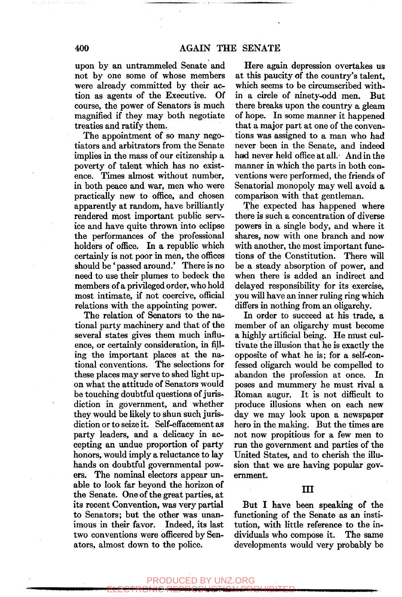upon by an untrammeled Senate and not by one some of whose members were already committed by their action as agents of the Executive. Of course, the power of Senators is much magnified if they may both negotiate treaties and ratify them.

The appointment of so many negotiators and arbitrators from the Senate implies in the mass of our citizenship a poverty of talent which has no existence. Times almost without number, in both peace and war, men who were practically new to office, and chosen apparently at random, have brilliantly rendered most important public service and have quite thrown into eclipse the performances of the professional holders of office. In a republic which certainly is not poor in men, the offices should be 'passed around.' There is no need to use their plumes to bedeck the members of a privileged order, who hold most intimate, if not coercive, official relations with the appointing power.

The relation of Senators to the national party machinery and that of the several states gives them much influence, or certainly consideration, in filling the important places at the national conventions. The selections for these places may serve to shed light upon what the attitude of Senators would be touching doubtful questions of jurisdiction in government, and whether they would be likely to shun such jurisdiction or to seize it. Self-effacement as party leaders, and a delicacy in accepting an imdue proportion of party honors, would imply a reluctance to lay hands on doubtful governmental powers. The nominal electors appear unable to look far beyond the horizon of the Senate. Oneof the great parties, at its recent Convention, was very partial to Senators; but the other was unanimous in their favor. Indeed, its last two conventions were officered by Senators, almost down to the police.

Here again depression overtakes us at this paucity of the country's talent, which seems to be circumscribed within a circle of ninety-odd men. But there breaks upon the country a gleam of hope. In some manner it happened that a major part at one of the conventions was assigned to a man who had never been in the Senate, and indeed had never held office at all. And in the manner in which the parts in both conventions were performed, the friends of Senatorial monopoly may well avoid a comparison with that gentleman.

The expected *has* happened where there is such a concentration of diverse powers in a single body, and where it shares, now with one branch and now with another, the most important functions of the Constitution. There will be a steady absorption of power, and when there is added an indirect and delayed responsibility for its exercise, you will have an inner ruling ring which differs in nothing from an oligarchy.

In order to succeed at his trade, a member of an oligarchy must become a highly artificial being. He must cultivate the illusion that he is exactly the opposite of what he is; for a self-confessed oligarch would be compelled to abandon the profession at once. In poses and mummery he must rival a Roman augur. It is not difficult to produce illusions when on each new day we may look upon a newspaper hero in the making. But the times are not now propitious for a few men to run the government and parties of the United States, and to cherish the illusion that we are having popular government.

## $\mathbf{III}$

But I have been speaking of the functioning of the Senate as an institution, with little reference to the individuals who compose it. The same developments would very probably be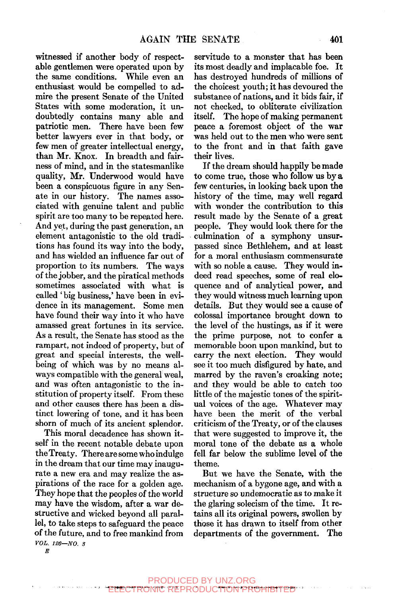witnessed if another body of respectable gentlemen were operated upon by the same conditions. While even an enthusiast would be compelled to admire the present Senate of the United States with some moderation, it undoubtedly contains many able and patriotic men. There have been few better lawyers ever in that body, or few men of greater intellectual energy, than Mr. Knox. In breadth and fairness of mind, and in the statesmanlike quality, Mr. Underwood would have been a conspicuous figure in any Senate in our history. The names associated with genuine talent and public spirit are too many to be repeated here. And yet, during the past generation, an element antagonistic to the old traditions has found its way into the body, and has wielded an influence far out of proportion to its numbers. The ways of the jobber, and the piratical methods sometimes associated with what is called ' big business,' have been in evidence in its management. Some men have found their way into it who have amassed great fortunes in its service. As a result, the Senate has stood as the rampart, not indeed of property, but of great and special interests, the wellbeing of which was by no means always compatible with the general weal, and was often antagonistic to the institution of property itself. From these and other causes there has been a distinct lowering of tone, and it has been shorn of much of its ancient splendor.

This moral decadence has shown itself in the recent notable debate upon the Treaty. There are some who indulge in the dream that counting may income may be defined. rate a new era and may new era and many realizedrate a new era and may realize the aspirations of the race for a golden age. They hope that the peoples of the world may have the wisdom, after a war destructive and wicked beyond all parallel, to take steps to safeguard the peace<br>of the future, and to free mankind from *VOL. 126—NO. 3* 

servitude to a monster that has been its most deadly and implacable foe. It has destroyed hundreds of millions of the choicest youth; it has devoured the substance of nations, and it bids fair, if not checked, to obliterate civilization itself. The hope of making permanent peace a foremost object of the war was held out to the men who were sent to the front and in that faith gave their lives.

If the dream should happily be made to come true, those who follow us by a few centuries, in looking back upon the history of the time, may well regard with wonder the contribution to this result made by the Senate of a great people. They would look there for the culmination of a symphony unsurpassed since Bethlehem, and at least for a moral enthusiasm commensurate with so noble a cause. They would indeed read speeches, some of real eloquence and of analytical power, and they would witness much learning upon details. But they would see a cause of colossal importance brought down to the level of the hustings, as if it were the prime purpose, not to confer a memorable boon upon mankind, but to carry the next election. They would see it too much disfigured by hate, and marred by the raven's croaking note; and they would be able to catch too little of the majestic tones of the spiritual voices of the age. Whatever may have been the merit of the verbal criticism of the Treaty, or of the clauses that were suggested to improve it, the moral tone of the debate as a whole fell far below the sublime level of the theme.

But we have the Senate, with the mechanism of a bygone age, and with a structure so undemocratic as to make it the glaring solecism of the time. It retains all its original powers, swollen by those it has drawn to itself from other departments of the government. The

*E*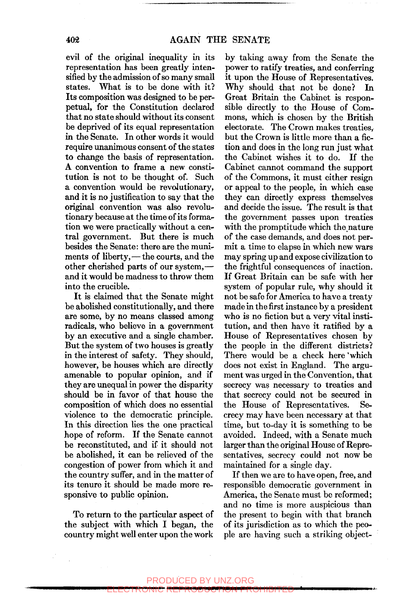evil of the original inequality in its representation has been greatly intensified by the admission of so many small states. What is to be done with it? Its composition was designed to be perpetual, for the Constitution declared that no state should without its consent be deprived of its equal representation in the Senate. In other words it would require unanimous consent of the states to change the basis of representation. A convention to frame a new constitution is not to be thought of. Such a convention would be revolutionary, and it is no justification to say that the original convention was also revolutionary because at the time of its formation we were practically without a central government. But there is much besides the Senate: there are the muniments of liberty,—the courts, and the other cherished parts of our system, and it would be madness to throw them into the crucible.

It is claimed that the Senate might be abolished constitutionally, and there are some, by no means classed among radicals, who believe in a government by an executive and a single chamber. But the system of two houses is greatly in the interest of safety. They should, however, be houses which are directly amenable to popular opinion, and if they are unequal in power the disparity should be in favor of that house the composition of which does no essential violence to the democratic principle. In this direction lies the one practical hope of reform. If the Senate cannot be reconstituted, and if it should not be abolished, it can be relieved of the congestion of power from which it and the country suffer, and in the matter of its tenure it should be made more responsive to public opinion.

To return to the particular aspect of the subject with which I began, the country might well enter upon the work

by taking away from the Senate the power to ratify treaties, and conferring it upon the House of Representatives. Why should that not be done? In Great Britain the Cabinet is responsible directly to the House of Commons, which is chosen by the British electorate. The Crown makes treaties, but the Crown is little more than a fiction and does in the long run just what the Cabinet wishes it to do. If the Cabinet cannot command the support of the Commons, it must either resign or appeal to the people, in which case they can directly express themselves and decide the issue. The result is that the government passes upon treaties with the promptitude which the nature of the case demands, and does not permit a time to elapse in which new wars may spring up and expose civilization to the frightful consequences of inaction. If Great Britain can be safe with her system of popular rule, why should it not be safe for America to have a treaty made in the first instance by a president who is no fiction but a very vital institution, and then have it ratified by a House of Representatives chosen by the people in the different districts? There would be a check here "which does not exist in England. The argument was urged in the Convention, that secrecy was necessary to treaties and that secrecy could not be secured in the House of Representatives. Secrecy may have been necessary at that time, but to-day it is something to be  $\frac{1}{4}$  but to-day it is something to be avolueu. Indeed, with a behate much larger than the original House of Representatives, secrecy could not now be maintained for a single day.

If then we are to have open, free, and responsible democratic government in America, the Senate must be reformed; and no time is more auspicious than the present to begin with that branch of its jurisdiction as to which the people are having such a striking object-